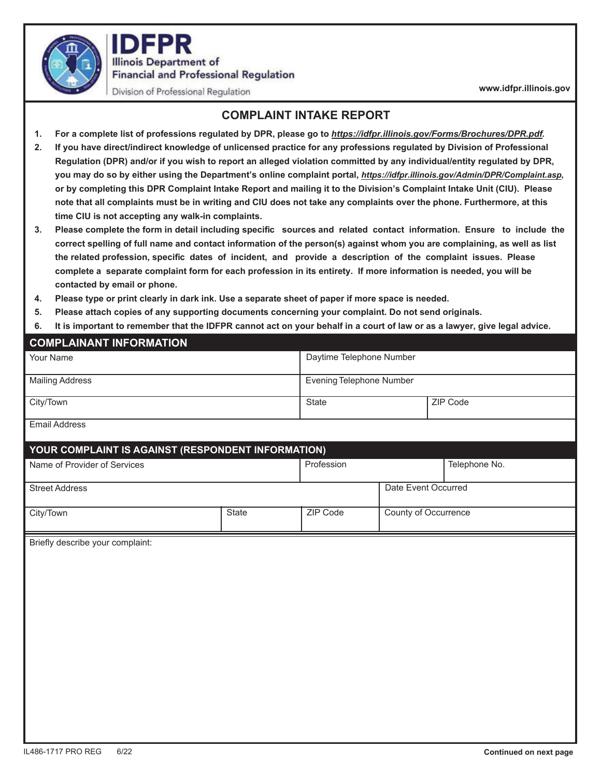

**FPR Illinois Department of Financial and Professional Regulation** 

Division of Professional Regulation

**www.idfpr.illinois.gov** 

## **COMPLAINT INTAKE REPORT**

- **1. For a complete list of professions regulated by DPR, please go to** *https://idfpr.illinois.gov/Forms/Brochures/DPR.pdf.*
- **2. If you have direct/indirect knowledge of unlicensed practice for any professions regulated by Division of Professional Regulation (DPR) and/or if you wish to report an alleged violation committed by any individual/entity regulated by DPR, you may do so by either using the Department's online complaint portal,** *https://idfpr.illinois.gov/Admin/DPR/Complaint.asp***, or by completing this DPR Complaint Intake Report and mailing it to the Division's Complaint Intake Unit (CIU). Please note that all complaints must be in writing and CIU does not take any complaints over the phone. Furthermore, at this time CIU is not accepting any walk-in complaints.**
- **3. Please complete the form in detail including specifi c sources and related contact information. Ensure to include the correct spelling of full name and contact information of the person(s) against whom you are complaining, as well as list** the related profession, specific dates of incident, and provide a description of the complaint issues. Please **complete a separate complaint form for each profession in its entirety. If more information is needed, you will be contacted by email or phone.**
- **4. Please type or print clearly in dark ink. Use a separate sheet of paper if more space is needed.**
- **5. Please attach copies of any supporting documents concerning your complaint. Do not send originals.**
- **6. It is important to remember that the IDFPR cannot act on your behalf in a court of law or as a lawyer, give legal advice.**

| <b>COMPLAINANT INFORMATION</b>                     |       |                                 |                      |               |  |
|----------------------------------------------------|-------|---------------------------------|----------------------|---------------|--|
| Your Name                                          |       | Daytime Telephone Number        |                      |               |  |
| <b>Mailing Address</b>                             |       | <b>Evening Telephone Number</b> |                      |               |  |
| City/Town                                          |       | State                           |                      | ZIP Code      |  |
| <b>Email Address</b>                               |       |                                 |                      |               |  |
| YOUR COMPLAINT IS AGAINST (RESPONDENT INFORMATION) |       |                                 |                      |               |  |
| Name of Provider of Services                       |       | Profession                      |                      | Telephone No. |  |
| <b>Street Address</b>                              |       |                                 | Date Event Occurred  |               |  |
| City/Town                                          | State | ZIP Code                        | County of Occurrence |               |  |
|                                                    |       |                                 |                      |               |  |
| Briefly describe your complaint:                   |       |                                 |                      |               |  |
|                                                    |       |                                 |                      |               |  |
|                                                    |       |                                 |                      |               |  |
|                                                    |       |                                 |                      |               |  |
|                                                    |       |                                 |                      |               |  |
|                                                    |       |                                 |                      |               |  |
|                                                    |       |                                 |                      |               |  |
|                                                    |       |                                 |                      |               |  |